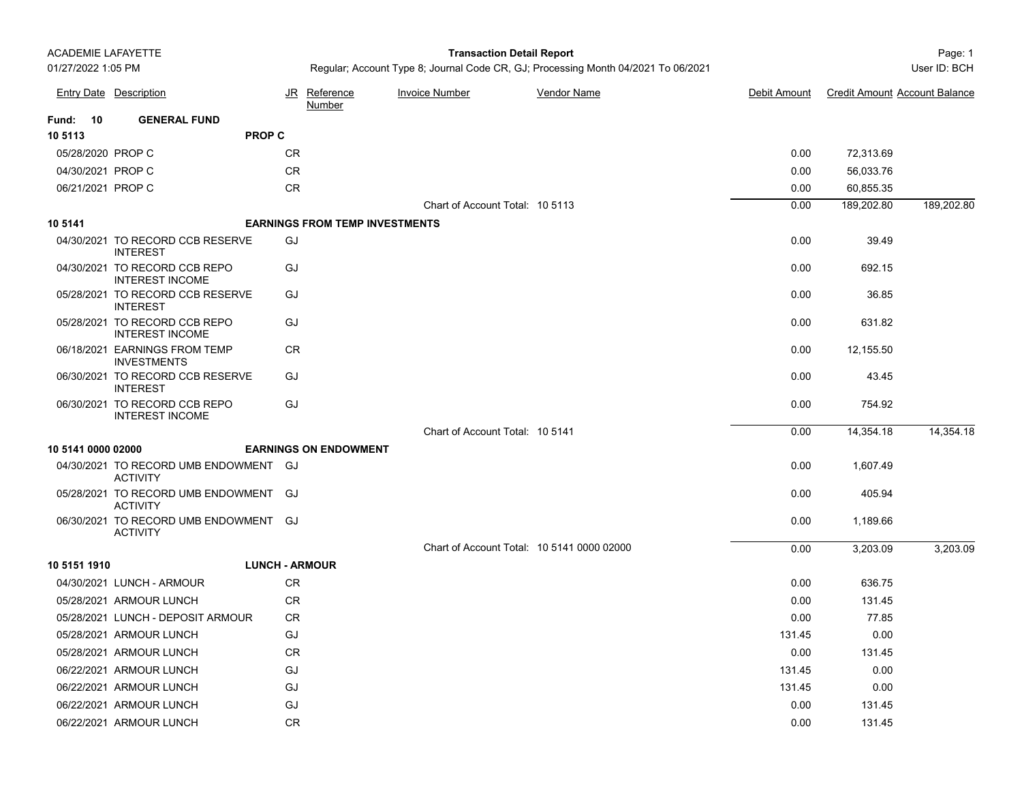#### Page: 1 **Transaction Detail Report**

|                    | <b>Entry Date</b> Description                            |           | JR Reference<br>Number                | <b>Invoice Number</b>                      | <b>Vendor Name</b> | Debit Amount | <b>Credit Amount Account Balance</b> |            |
|--------------------|----------------------------------------------------------|-----------|---------------------------------------|--------------------------------------------|--------------------|--------------|--------------------------------------|------------|
| <b>Fund: 10</b>    | <b>GENERAL FUND</b>                                      |           |                                       |                                            |                    |              |                                      |            |
| 10 5113            | <b>PROP C</b>                                            |           |                                       |                                            |                    |              |                                      |            |
| 05/28/2020 PROP C  |                                                          | <b>CR</b> |                                       |                                            |                    | 0.00         | 72,313.69                            |            |
| 04/30/2021 PROP C  |                                                          | <b>CR</b> |                                       |                                            |                    | 0.00         | 56,033.76                            |            |
| 06/21/2021 PROP C  |                                                          | <b>CR</b> |                                       |                                            |                    | 0.00         | 60,855.35                            |            |
|                    |                                                          |           |                                       | Chart of Account Total: 10 5113            |                    | 0.00         | 189,202.80                           | 189,202.80 |
| 10 5141            |                                                          |           | <b>EARNINGS FROM TEMP INVESTMENTS</b> |                                            |                    |              |                                      |            |
|                    | 04/30/2021 TO RECORD CCB RESERVE<br><b>INTEREST</b>      | GJ        |                                       |                                            |                    | 0.00         | 39.49                                |            |
|                    | 04/30/2021 TO RECORD CCB REPO<br><b>INTEREST INCOME</b>  | GJ        |                                       |                                            |                    | 0.00         | 692.15                               |            |
|                    | 05/28/2021 TO RECORD CCB RESERVE<br><b>INTEREST</b>      | GJ        |                                       |                                            |                    | 0.00         | 36.85                                |            |
|                    | 05/28/2021 TO RECORD CCB REPO<br><b>INTEREST INCOME</b>  | GJ        |                                       |                                            |                    | 0.00         | 631.82                               |            |
|                    | 06/18/2021 EARNINGS FROM TEMP<br><b>INVESTMENTS</b>      | <b>CR</b> |                                       |                                            |                    | 0.00         | 12,155.50                            |            |
|                    | 06/30/2021 TO RECORD CCB RESERVE<br><b>INTEREST</b>      | GJ        |                                       |                                            |                    | 0.00         | 43.45                                |            |
|                    | 06/30/2021 TO RECORD CCB REPO<br><b>INTEREST INCOME</b>  | GJ        |                                       |                                            |                    | 0.00         | 754.92                               |            |
|                    |                                                          |           |                                       | Chart of Account Total: 10 5141            |                    | 0.00         | 14,354.18                            | 14,354.18  |
| 10 5141 0000 02000 |                                                          |           | <b>EARNINGS ON ENDOWMENT</b>          |                                            |                    |              |                                      |            |
|                    | 04/30/2021 TO RECORD UMB ENDOWMENT GJ<br><b>ACTIVITY</b> |           |                                       |                                            |                    | 0.00         | 1,607.49                             |            |
|                    | 05/28/2021 TO RECORD UMB ENDOWMENT GJ<br><b>ACTIVITY</b> |           |                                       |                                            |                    | 0.00         | 405.94                               |            |
|                    | 06/30/2021 TO RECORD UMB ENDOWMENT GJ<br><b>ACTIVITY</b> |           |                                       |                                            |                    | 0.00         | 1,189.66                             |            |
|                    |                                                          |           |                                       | Chart of Account Total: 10 5141 0000 02000 |                    | 0.00         | 3,203.09                             | 3,203.09   |
| 10 5151 1910       |                                                          |           | <b>LUNCH - ARMOUR</b>                 |                                            |                    |              |                                      |            |
|                    | 04/30/2021 LUNCH - ARMOUR                                | CR.       |                                       |                                            |                    | 0.00         | 636.75                               |            |
|                    | 05/28/2021 ARMOUR LUNCH                                  | <b>CR</b> |                                       |                                            |                    | 0.00         | 131.45                               |            |
|                    | 05/28/2021 LUNCH - DEPOSIT ARMOUR                        | CR.       |                                       |                                            |                    | 0.00         | 77.85                                |            |
|                    | 05/28/2021 ARMOUR LUNCH                                  | GJ        |                                       |                                            |                    | 131.45       | 0.00                                 |            |
|                    | 05/28/2021 ARMOUR LUNCH                                  | <b>CR</b> |                                       |                                            |                    | 0.00         | 131.45                               |            |
|                    | 06/22/2021 ARMOUR LUNCH                                  | GJ        |                                       |                                            |                    | 131.45       | 0.00                                 |            |
|                    | 06/22/2021 ARMOUR LUNCH                                  | GJ        |                                       |                                            |                    | 131.45       | 0.00                                 |            |
|                    | 06/22/2021 ARMOUR LUNCH                                  | GJ        |                                       |                                            |                    | 0.00         | 131.45                               |            |
|                    | 06/22/2021 ARMOUR LUNCH                                  | <b>CR</b> |                                       |                                            |                    | 0.00         | 131.45                               |            |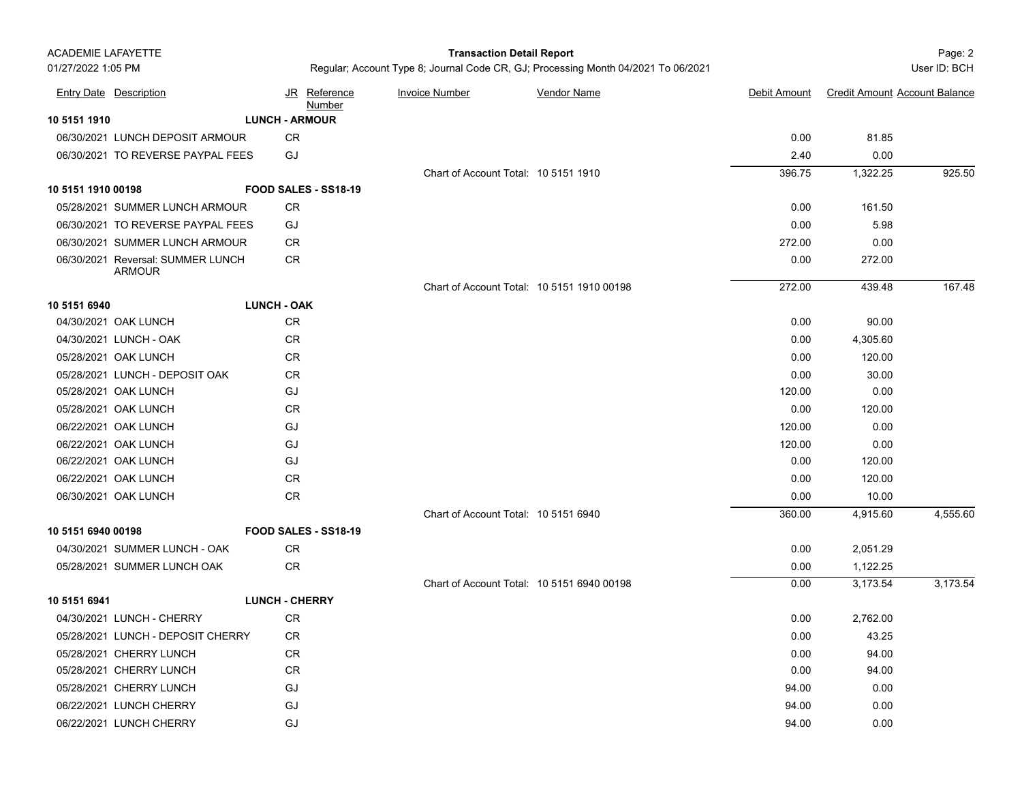| ACADEMIE LAFAYETTE |
|--------------------|
| 01/27/2022 1:05 PM |

### Page: 2 **Transaction Detail Report**

|                    | <b>Entry Date Description</b>               | JR Reference<br>Number | <b>Invoice Number</b>                | <b>Vendor Name</b>                         | Debit Amount | <b>Credit Amount Account Balance</b> |          |
|--------------------|---------------------------------------------|------------------------|--------------------------------------|--------------------------------------------|--------------|--------------------------------------|----------|
| 10 5151 1910       |                                             | <b>LUNCH - ARMOUR</b>  |                                      |                                            |              |                                      |          |
|                    | 06/30/2021 LUNCH DEPOSIT ARMOUR             | CR                     |                                      |                                            | 0.00         | 81.85                                |          |
|                    | 06/30/2021 TO REVERSE PAYPAL FEES           | GJ                     |                                      |                                            | 2.40         | 0.00                                 |          |
|                    |                                             |                        | Chart of Account Total: 10 5151 1910 |                                            | 396.75       | 1,322.25                             | 925.50   |
| 10 5151 1910 00198 |                                             | FOOD SALES - SS18-19   |                                      |                                            |              |                                      |          |
|                    | 05/28/2021 SUMMER LUNCH ARMOUR              | CR                     |                                      |                                            | 0.00         | 161.50                               |          |
|                    | 06/30/2021 TO REVERSE PAYPAL FEES           | GJ                     |                                      |                                            | 0.00         | 5.98                                 |          |
|                    | 06/30/2021 SUMMER LUNCH ARMOUR              | CR                     |                                      |                                            | 272.00       | 0.00                                 |          |
|                    | 06/30/2021 Reversal: SUMMER LUNCH<br>ARMOUR | CR.                    |                                      |                                            | 0.00         | 272.00                               |          |
|                    |                                             |                        |                                      | Chart of Account Total: 10 5151 1910 00198 | 272.00       | 439.48                               | 167.48   |
| 10 5151 6940       |                                             | <b>LUNCH - OAK</b>     |                                      |                                            |              |                                      |          |
|                    | 04/30/2021 OAK LUNCH                        | CR                     |                                      |                                            | 0.00         | 90.00                                |          |
|                    | 04/30/2021 LUNCH - OAK                      | <b>CR</b>              |                                      |                                            | 0.00         | 4,305.60                             |          |
|                    | 05/28/2021 OAK LUNCH                        | <b>CR</b>              |                                      |                                            | 0.00         | 120.00                               |          |
|                    | 05/28/2021 LUNCH - DEPOSIT OAK              | <b>CR</b>              |                                      |                                            | 0.00         | 30.00                                |          |
|                    | 05/28/2021 OAK LUNCH                        | GJ                     |                                      |                                            | 120.00       | 0.00                                 |          |
|                    | 05/28/2021 OAK LUNCH                        | <b>CR</b>              |                                      |                                            | 0.00         | 120.00                               |          |
|                    | 06/22/2021 OAK LUNCH                        | GJ                     |                                      |                                            | 120.00       | 0.00                                 |          |
|                    | 06/22/2021 OAK LUNCH                        | GJ                     |                                      |                                            | 120.00       | 0.00                                 |          |
|                    | 06/22/2021 OAK LUNCH                        | GJ                     |                                      |                                            | 0.00         | 120.00                               |          |
|                    | 06/22/2021 OAK LUNCH                        | CR                     |                                      |                                            | 0.00         | 120.00                               |          |
|                    | 06/30/2021 OAK LUNCH                        | CR                     |                                      |                                            | 0.00         | 10.00                                |          |
|                    |                                             |                        | Chart of Account Total: 10 5151 6940 |                                            | 360.00       | 4,915.60                             | 4,555.60 |
| 10 5151 6940 00198 |                                             | FOOD SALES - SS18-19   |                                      |                                            |              |                                      |          |
|                    | 04/30/2021 SUMMER LUNCH - OAK               | CR                     |                                      |                                            | 0.00         | 2,051.29                             |          |
|                    | 05/28/2021 SUMMER LUNCH OAK                 | CR                     |                                      |                                            | 0.00         | 1,122.25                             |          |
|                    |                                             |                        |                                      | Chart of Account Total: 10 5151 6940 00198 | 0.00         | 3,173.54                             | 3,173.54 |
| 10 5151 6941       |                                             | <b>LUNCH - CHERRY</b>  |                                      |                                            |              |                                      |          |
|                    | 04/30/2021 LUNCH - CHERRY                   | CR.                    |                                      |                                            | 0.00         | 2,762.00                             |          |
|                    | 05/28/2021 LUNCH - DEPOSIT CHERRY           | CR                     |                                      |                                            | 0.00         | 43.25                                |          |
|                    | 05/28/2021 CHERRY LUNCH                     | CR                     |                                      |                                            | 0.00         | 94.00                                |          |
|                    | 05/28/2021 CHERRY LUNCH                     | CR                     |                                      |                                            | 0.00         | 94.00                                |          |
|                    | 05/28/2021 CHERRY LUNCH                     | GJ                     |                                      |                                            | 94.00        | 0.00                                 |          |
|                    | 06/22/2021 LUNCH CHERRY                     | GJ                     |                                      |                                            | 94.00        | 0.00                                 |          |
|                    | 06/22/2021 LUNCH CHERRY                     | GJ                     |                                      |                                            | 94.00        | 0.00                                 |          |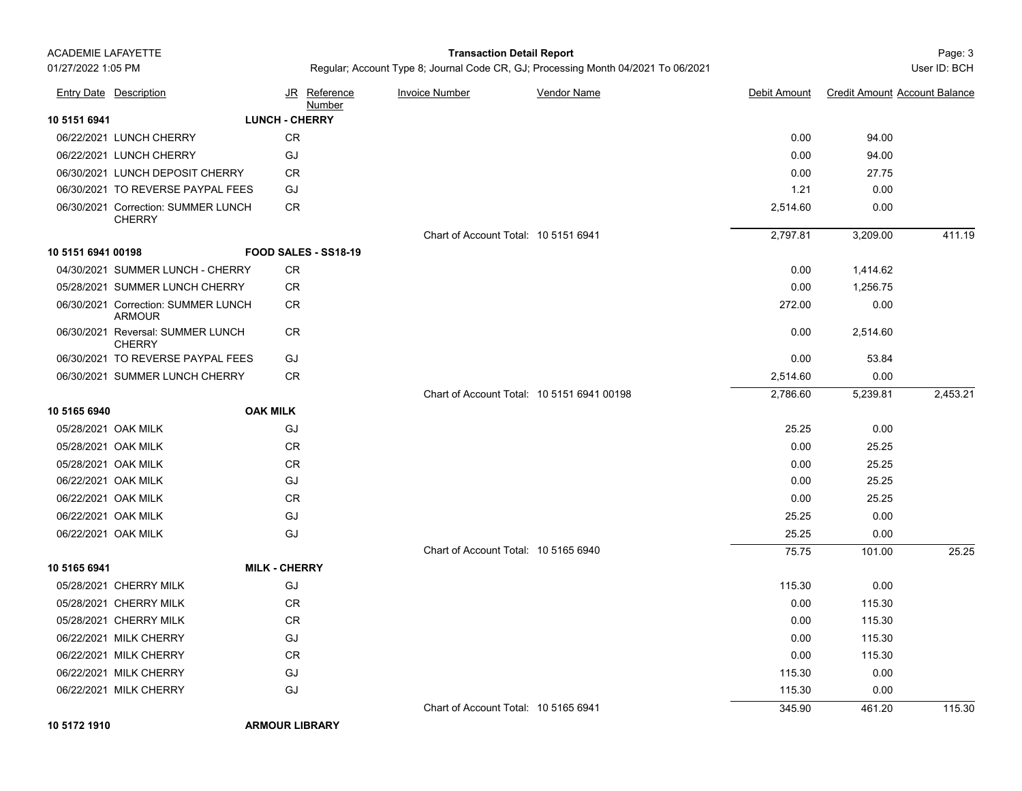### Page: 3 **Transaction Detail Report**

Regular; Account Type 8; Journal Code CR, GJ; Processing Month 04/2021 To 06/2021 User Messen and Diser ID: BCH

|                    | <b>Entry Date Description</b>                        | JR Reference<br>Number | <b>Invoice Number</b>                      | Vendor Name | Debit Amount | <b>Credit Amount Account Balance</b> |          |
|--------------------|------------------------------------------------------|------------------------|--------------------------------------------|-------------|--------------|--------------------------------------|----------|
| 10 5151 6941       |                                                      | <b>LUNCH - CHERRY</b>  |                                            |             |              |                                      |          |
|                    | 06/22/2021 LUNCH CHERRY                              | CR                     |                                            |             | 0.00         | 94.00                                |          |
|                    | 06/22/2021 LUNCH CHERRY                              | GJ                     |                                            |             | 0.00         | 94.00                                |          |
|                    | 06/30/2021 LUNCH DEPOSIT CHERRY                      | CR                     |                                            |             | 0.00         | 27.75                                |          |
|                    | 06/30/2021 TO REVERSE PAYPAL FEES                    | GJ                     |                                            |             | 1.21         | 0.00                                 |          |
|                    | 06/30/2021 Correction: SUMMER LUNCH<br><b>CHERRY</b> | CR                     |                                            |             | 2,514.60     | 0.00                                 |          |
|                    |                                                      |                        | Chart of Account Total: 10 5151 6941       |             | 2,797.81     | 3,209.00                             | 411.19   |
| 10 5151 6941 00198 |                                                      | FOOD SALES - SS18-19   |                                            |             |              |                                      |          |
|                    | 04/30/2021 SUMMER LUNCH - CHERRY                     | CR.                    |                                            |             | 0.00         | 1,414.62                             |          |
|                    | 05/28/2021 SUMMER LUNCH CHERRY                       | CR                     |                                            |             | 0.00         | 1,256.75                             |          |
|                    | 06/30/2021 Correction: SUMMER LUNCH<br><b>ARMOUR</b> | CR                     |                                            |             | 272.00       | 0.00                                 |          |
|                    | 06/30/2021 Reversal: SUMMER LUNCH<br><b>CHERRY</b>   | CR.                    |                                            |             | 0.00         | 2,514.60                             |          |
|                    | 06/30/2021 TO REVERSE PAYPAL FEES                    | GJ                     |                                            |             | 0.00         | 53.84                                |          |
|                    | 06/30/2021 SUMMER LUNCH CHERRY                       | CR.                    |                                            |             | 2,514.60     | 0.00                                 |          |
|                    |                                                      |                        | Chart of Account Total: 10 5151 6941 00198 |             | 2.786.60     | 5,239.81                             | 2,453.21 |
| 10 5165 6940       |                                                      | <b>OAK MILK</b>        |                                            |             |              |                                      |          |
|                    | 05/28/2021 OAK MILK                                  | GJ                     |                                            |             | 25.25        | 0.00                                 |          |
|                    | 05/28/2021 OAK MILK                                  | CR                     |                                            |             | 0.00         | 25.25                                |          |
|                    | 05/28/2021 OAK MILK                                  | CR                     |                                            |             | 0.00         | 25.25                                |          |
|                    | 06/22/2021 OAK MILK                                  | GJ                     |                                            |             | 0.00         | 25.25                                |          |
|                    | 06/22/2021 OAK MILK                                  | ${\sf CR}$             |                                            |             | 0.00         | 25.25                                |          |
|                    | 06/22/2021 OAK MILK                                  | GJ                     |                                            |             | 25.25        | 0.00                                 |          |
|                    | 06/22/2021 OAK MILK                                  | GJ                     |                                            |             | 25.25        | 0.00                                 |          |
|                    |                                                      |                        | Chart of Account Total: 10 5165 6940       |             | 75.75        | 101.00                               | 25.25    |
| 10 5165 6941       |                                                      | <b>MILK - CHERRY</b>   |                                            |             |              |                                      |          |
|                    | 05/28/2021 CHERRY MILK                               | GJ                     |                                            |             | 115.30       | 0.00                                 |          |
|                    | 05/28/2021 CHERRY MILK                               | CR                     |                                            |             | 0.00         | 115.30                               |          |
|                    | 05/28/2021 CHERRY MILK                               | CR                     |                                            |             | 0.00         | 115.30                               |          |
|                    | 06/22/2021 MILK CHERRY                               | GJ                     |                                            |             | 0.00         | 115.30                               |          |
|                    | 06/22/2021 MILK CHERRY                               | ${\sf CR}$             |                                            |             | 0.00         | 115.30                               |          |
|                    | 06/22/2021 MILK CHERRY                               | GJ                     |                                            |             | 115.30       | 0.00                                 |          |
|                    | 06/22/2021 MILK CHERRY                               | GJ                     |                                            |             | 115.30       | 0.00                                 |          |
|                    |                                                      |                        | Chart of Account Total: 10 5165 6941       |             | 345.90       | 461.20                               | 115.30   |

**10 5172 1910 ARMOUR LIBRARY**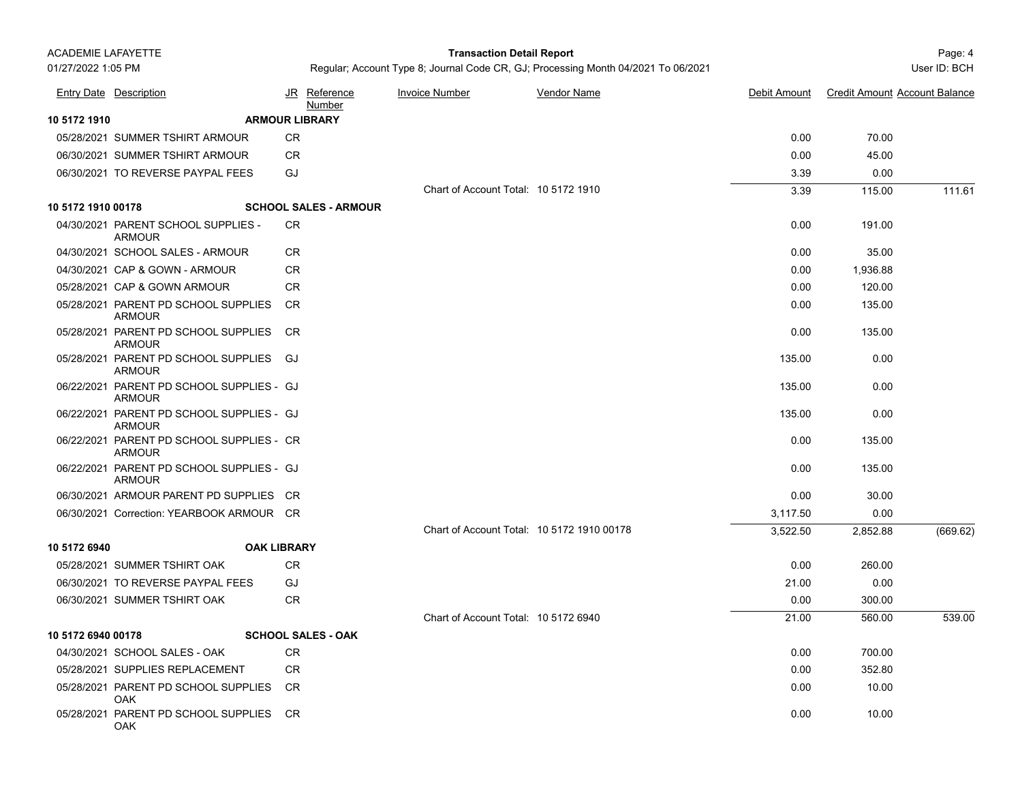# Page: 4 **Transaction Detail Report**

|                    | <b>Entry Date Description</b>                              |           | JR Reference<br>Number       | <b>Invoice Number</b>                      | <b>Vendor Name</b> | Debit Amount | <b>Credit Amount Account Balance</b> |          |
|--------------------|------------------------------------------------------------|-----------|------------------------------|--------------------------------------------|--------------------|--------------|--------------------------------------|----------|
| 10 5172 1910       |                                                            |           | <b>ARMOUR LIBRARY</b>        |                                            |                    |              |                                      |          |
|                    | 05/28/2021 SUMMER TSHIRT ARMOUR                            | <b>CR</b> |                              |                                            |                    | 0.00         | 70.00                                |          |
|                    | 06/30/2021 SUMMER TSHIRT ARMOUR                            | <b>CR</b> |                              |                                            |                    | 0.00         | 45.00                                |          |
|                    | 06/30/2021 TO REVERSE PAYPAL FEES                          | GJ        |                              |                                            |                    | 3.39         | 0.00                                 |          |
|                    |                                                            |           |                              | Chart of Account Total: 10 5172 1910       |                    | 3.39         | 115.00                               | 111.61   |
| 10 5172 1910 00178 |                                                            |           | <b>SCHOOL SALES - ARMOUR</b> |                                            |                    |              |                                      |          |
|                    | 04/30/2021 PARENT SCHOOL SUPPLIES -<br><b>ARMOUR</b>       | CR        |                              |                                            |                    | 0.00         | 191.00                               |          |
|                    | 04/30/2021 SCHOOL SALES - ARMOUR                           | <b>CR</b> |                              |                                            |                    | 0.00         | 35.00                                |          |
|                    | 04/30/2021 CAP & GOWN - ARMOUR                             | <b>CR</b> |                              |                                            |                    | 0.00         | 1,936.88                             |          |
|                    | 05/28/2021 CAP & GOWN ARMOUR                               | <b>CR</b> |                              |                                            |                    | 0.00         | 120.00                               |          |
|                    | 05/28/2021 PARENT PD SCHOOL SUPPLIES<br><b>ARMOUR</b>      | <b>CR</b> |                              |                                            |                    | 0.00         | 135.00                               |          |
|                    | 05/28/2021 PARENT PD SCHOOL SUPPLIES<br><b>ARMOUR</b>      | <b>CR</b> |                              |                                            |                    | 0.00         | 135.00                               |          |
|                    | 05/28/2021 PARENT PD SCHOOL SUPPLIES<br><b>ARMOUR</b>      | GJ        |                              |                                            |                    | 135.00       | 0.00                                 |          |
|                    | 06/22/2021 PARENT PD SCHOOL SUPPLIES - GJ<br><b>ARMOUR</b> |           |                              |                                            |                    | 135.00       | 0.00                                 |          |
|                    | 06/22/2021 PARENT PD SCHOOL SUPPLIES - GJ<br><b>ARMOUR</b> |           |                              |                                            |                    | 135.00       | 0.00                                 |          |
|                    | 06/22/2021 PARENT PD SCHOOL SUPPLIES - CR<br><b>ARMOUR</b> |           |                              |                                            |                    | 0.00         | 135.00                               |          |
|                    | 06/22/2021 PARENT PD SCHOOL SUPPLIES - GJ<br><b>ARMOUR</b> |           |                              |                                            |                    | 0.00         | 135.00                               |          |
|                    | 06/30/2021 ARMOUR PARENT PD SUPPLIES CR                    |           |                              |                                            |                    | 0.00         | 30.00                                |          |
|                    | 06/30/2021 Correction: YEARBOOK ARMOUR CR                  |           |                              |                                            |                    | 3,117.50     | 0.00                                 |          |
|                    |                                                            |           |                              | Chart of Account Total: 10 5172 1910 00178 |                    | 3,522.50     | 2.852.88                             | (669.62) |
| 10 5172 6940       | <b>OAK LIBRARY</b>                                         |           |                              |                                            |                    |              |                                      |          |
|                    | 05/28/2021 SUMMER TSHIRT OAK                               | <b>CR</b> |                              |                                            |                    | 0.00         | 260.00                               |          |
|                    | 06/30/2021 TO REVERSE PAYPAL FEES                          | GJ        |                              |                                            |                    | 21.00        | 0.00                                 |          |
|                    | 06/30/2021 SUMMER TSHIRT OAK                               | <b>CR</b> |                              |                                            |                    | 0.00         | 300.00                               |          |
|                    |                                                            |           |                              | Chart of Account Total: 10 5172 6940       |                    | 21.00        | 560.00                               | 539.00   |
| 10 5172 6940 00178 |                                                            |           | <b>SCHOOL SALES - OAK</b>    |                                            |                    |              |                                      |          |
|                    | 04/30/2021 SCHOOL SALES - OAK                              | <b>CR</b> |                              |                                            |                    | 0.00         | 700.00                               |          |
|                    | 05/28/2021 SUPPLIES REPLACEMENT                            | <b>CR</b> |                              |                                            |                    | 0.00         | 352.80                               |          |
|                    | 05/28/2021 PARENT PD SCHOOL SUPPLIES<br>OAK                | CR        |                              |                                            |                    | 0.00         | 10.00                                |          |
|                    | 05/28/2021 PARENT PD SCHOOL SUPPLIES<br><b>OAK</b>         | CR        |                              |                                            |                    | 0.00         | 10.00                                |          |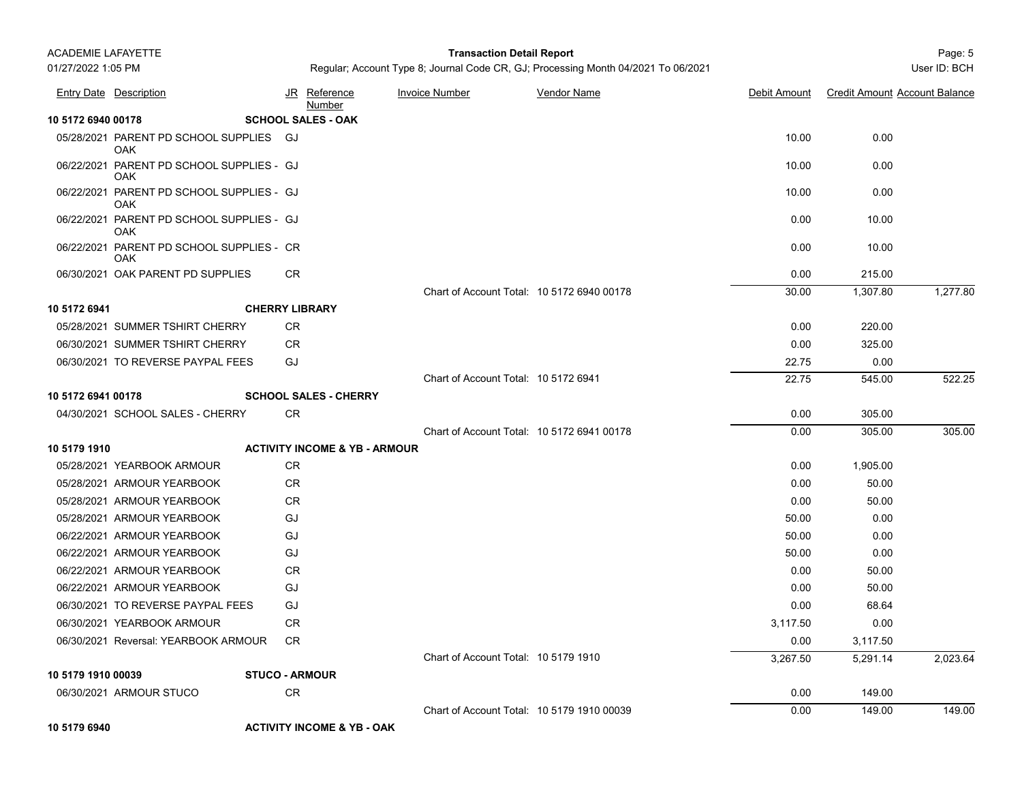# Page: 5 **Transaction Detail Report**

|                    | <b>Entry Date</b> Description                           |            | JR Reference<br>Number                   | <b>Invoice Number</b>                      | <b>Vendor Name</b> | Debit Amount | <b>Credit Amount Account Balance</b> |          |
|--------------------|---------------------------------------------------------|------------|------------------------------------------|--------------------------------------------|--------------------|--------------|--------------------------------------|----------|
| 10 5172 6940 00178 |                                                         |            | <b>SCHOOL SALES - OAK</b>                |                                            |                    |              |                                      |          |
|                    | 05/28/2021 PARENT PD SCHOOL SUPPLIES GJ<br><b>OAK</b>   |            |                                          |                                            |                    | 10.00        | 0.00                                 |          |
|                    | 06/22/2021 PARENT PD SCHOOL SUPPLIES - GJ<br><b>OAK</b> |            |                                          |                                            |                    | 10.00        | 0.00                                 |          |
|                    | 06/22/2021 PARENT PD SCHOOL SUPPLIES - GJ<br><b>OAK</b> |            |                                          |                                            |                    | 10.00        | 0.00                                 |          |
|                    | 06/22/2021 PARENT PD SCHOOL SUPPLIES - GJ<br><b>OAK</b> |            |                                          |                                            |                    | 0.00         | 10.00                                |          |
|                    | 06/22/2021 PARENT PD SCHOOL SUPPLIES - CR<br><b>OAK</b> |            |                                          |                                            |                    | 0.00         | 10.00                                |          |
|                    | 06/30/2021 OAK PARENT PD SUPPLIES                       | <b>CR</b>  |                                          |                                            |                    | 0.00         | 215.00                               |          |
|                    |                                                         |            |                                          | Chart of Account Total: 10 5172 6940 00178 |                    | 30.00        | 1,307.80                             | 1,277.80 |
| 10 5172 6941       |                                                         |            | <b>CHERRY LIBRARY</b>                    |                                            |                    |              |                                      |          |
|                    | 05/28/2021 SUMMER TSHIRT CHERRY                         | CR         |                                          |                                            |                    | 0.00         | 220.00                               |          |
|                    | 06/30/2021 SUMMER TSHIRT CHERRY                         | <b>CR</b>  |                                          |                                            |                    | 0.00         | 325.00                               |          |
|                    | 06/30/2021 TO REVERSE PAYPAL FEES                       | GJ         |                                          |                                            |                    | 22.75        | 0.00                                 |          |
|                    |                                                         |            |                                          | Chart of Account Total: 10 5172 6941       |                    | 22.75        | 545.00                               | 522.25   |
| 10 5172 6941 00178 |                                                         |            | <b>SCHOOL SALES - CHERRY</b>             |                                            |                    |              |                                      |          |
|                    | 04/30/2021 SCHOOL SALES - CHERRY                        | CR.        |                                          |                                            |                    | 0.00         | 305.00                               |          |
|                    |                                                         |            |                                          | Chart of Account Total: 10 5172 6941 00178 |                    | 0.00         | 305.00                               | 305.00   |
| 10 5179 1910       |                                                         |            | <b>ACTIVITY INCOME &amp; YB - ARMOUR</b> |                                            |                    |              |                                      |          |
|                    | 05/28/2021 YEARBOOK ARMOUR                              | <b>CR</b>  |                                          |                                            |                    | 0.00         | 1,905.00                             |          |
|                    | 05/28/2021 ARMOUR YEARBOOK                              | <b>CR</b>  |                                          |                                            |                    | 0.00         | 50.00                                |          |
|                    | 05/28/2021 ARMOUR YEARBOOK                              | CR         |                                          |                                            |                    | 0.00         | 50.00                                |          |
|                    | 05/28/2021 ARMOUR YEARBOOK                              | GJ         |                                          |                                            |                    | 50.00        | 0.00                                 |          |
|                    | 06/22/2021 ARMOUR YEARBOOK                              | GJ         |                                          |                                            |                    | 50.00        | 0.00                                 |          |
|                    | 06/22/2021 ARMOUR YEARBOOK                              | GJ         |                                          |                                            |                    | 50.00        | 0.00                                 |          |
|                    | 06/22/2021 ARMOUR YEARBOOK                              | <b>CR</b>  |                                          |                                            |                    | 0.00         | 50.00                                |          |
|                    | 06/22/2021 ARMOUR YEARBOOK                              | GJ         |                                          |                                            |                    | 0.00         | 50.00                                |          |
|                    | 06/30/2021 TO REVERSE PAYPAL FEES                       | GJ         |                                          |                                            |                    | 0.00         | 68.64                                |          |
|                    | 06/30/2021 YEARBOOK ARMOUR                              | <b>CR</b>  |                                          |                                            |                    | 3,117.50     | 0.00                                 |          |
|                    | 06/30/2021 Reversal: YEARBOOK ARMOUR                    | <b>CR</b>  |                                          |                                            |                    | 0.00         | 3,117.50                             |          |
|                    |                                                         |            |                                          | Chart of Account Total: 10 5179 1910       |                    | 3,267.50     | 5,291.14                             | 2,023.64 |
| 10 5179 1910 00039 |                                                         |            | <b>STUCO - ARMOUR</b>                    |                                            |                    |              |                                      |          |
|                    | 06/30/2021 ARMOUR STUCO                                 | ${\sf CR}$ |                                          |                                            |                    | 0.00         | 149.00                               |          |
|                    |                                                         |            |                                          | Chart of Account Total: 10 5179 1910 00039 |                    | 0.00         | 149.00                               | 149.00   |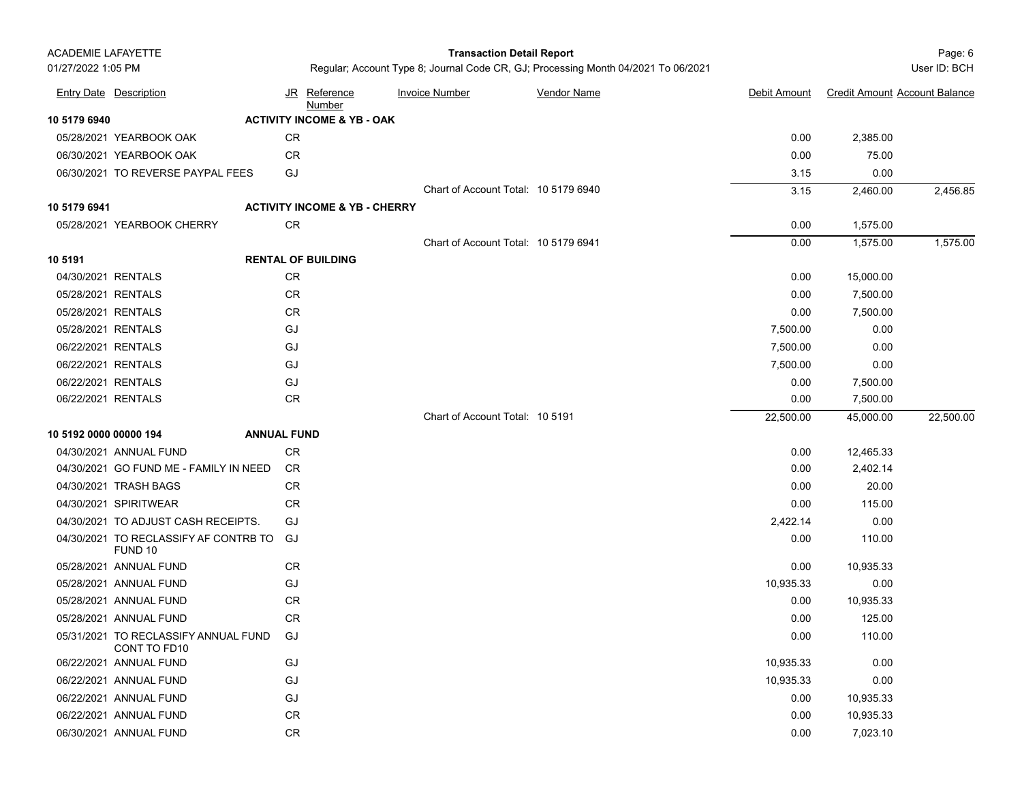| <b>ACADEMIE LAFAYETTE</b> |
|---------------------------|
| 01/27/2022 1:05 PM        |

#### Page: 6 **Transaction Detail Report**

|                        | <b>Entry Date Description</b>                        |           | JR Reference<br><b>Number</b>            | <b>Invoice Number</b>                | <b>Vendor Name</b> | Debit Amount | <b>Credit Amount Account Balance</b> |           |
|------------------------|------------------------------------------------------|-----------|------------------------------------------|--------------------------------------|--------------------|--------------|--------------------------------------|-----------|
| 10 5179 6940           |                                                      |           | <b>ACTIVITY INCOME &amp; YB - OAK</b>    |                                      |                    |              |                                      |           |
|                        | 05/28/2021 YEARBOOK OAK                              | CR        |                                          |                                      |                    | 0.00         | 2,385.00                             |           |
|                        | 06/30/2021 YEARBOOK OAK                              | CR        |                                          |                                      |                    | 0.00         | 75.00                                |           |
|                        | 06/30/2021 TO REVERSE PAYPAL FEES                    | GJ        |                                          |                                      |                    | 3.15         | 0.00                                 |           |
|                        |                                                      |           |                                          | Chart of Account Total: 10 5179 6940 |                    | 3.15         | 2,460.00                             | 2,456.85  |
| 10 5179 6941           |                                                      |           | <b>ACTIVITY INCOME &amp; YB - CHERRY</b> |                                      |                    |              |                                      |           |
|                        | 05/28/2021 YEARBOOK CHERRY                           | CR        |                                          |                                      |                    | 0.00         | 1,575.00                             |           |
|                        |                                                      |           |                                          | Chart of Account Total: 10 5179 6941 |                    | 0.00         | 1,575.00                             | 1,575.00  |
| 10 5191                |                                                      |           | <b>RENTAL OF BUILDING</b>                |                                      |                    |              |                                      |           |
| 04/30/2021 RENTALS     |                                                      | CR        |                                          |                                      |                    | 0.00         | 15,000.00                            |           |
| 05/28/2021 RENTALS     |                                                      | <b>CR</b> |                                          |                                      |                    | 0.00         | 7,500.00                             |           |
| 05/28/2021 RENTALS     |                                                      | CR        |                                          |                                      |                    | 0.00         | 7,500.00                             |           |
| 05/28/2021 RENTALS     |                                                      | GJ        |                                          |                                      |                    | 7,500.00     | 0.00                                 |           |
| 06/22/2021 RENTALS     |                                                      | GJ        |                                          |                                      |                    | 7,500.00     | 0.00                                 |           |
| 06/22/2021 RENTALS     |                                                      | GJ        |                                          |                                      |                    | 7,500.00     | 0.00                                 |           |
|                        | 06/22/2021 RENTALS                                   | GJ        |                                          |                                      |                    | 0.00         | 7,500.00                             |           |
|                        | 06/22/2021 RENTALS                                   | <b>CR</b> |                                          |                                      |                    | 0.00         | 7,500.00                             |           |
|                        |                                                      |           |                                          | Chart of Account Total: 10 5191      |                    | 22,500.00    | 45,000.00                            | 22,500.00 |
| 10 5192 0000 00000 194 | <b>ANNUAL FUND</b>                                   |           |                                          |                                      |                    |              |                                      |           |
|                        | 04/30/2021 ANNUAL FUND                               | <b>CR</b> |                                          |                                      |                    | 0.00         | 12,465.33                            |           |
|                        | 04/30/2021 GO FUND ME - FAMILY IN NEED               | <b>CR</b> |                                          |                                      |                    | 0.00         | 2,402.14                             |           |
|                        | 04/30/2021 TRASH BAGS                                | <b>CR</b> |                                          |                                      |                    | 0.00         | 20.00                                |           |
|                        | 04/30/2021 SPIRITWEAR                                | <b>CR</b> |                                          |                                      |                    | 0.00         | 115.00                               |           |
|                        | 04/30/2021 TO ADJUST CASH RECEIPTS.                  | GJ        |                                          |                                      |                    | 2,422.14     | 0.00                                 |           |
|                        | 04/30/2021 TO RECLASSIFY AF CONTRB TO GJ<br>FUND 10  |           |                                          |                                      |                    | 0.00         | 110.00                               |           |
|                        | 05/28/2021 ANNUAL FUND                               | CR        |                                          |                                      |                    | 0.00         | 10,935.33                            |           |
|                        | 05/28/2021 ANNUAL FUND                               | GJ        |                                          |                                      |                    | 10,935.33    | 0.00                                 |           |
|                        | 05/28/2021 ANNUAL FUND                               | <b>CR</b> |                                          |                                      |                    | 0.00         | 10,935.33                            |           |
|                        | 05/28/2021 ANNUAL FUND                               | <b>CR</b> |                                          |                                      |                    | 0.00         | 125.00                               |           |
|                        | 05/31/2021 TO RECLASSIFY ANNUAL FUND<br>CONT TO FD10 | GJ        |                                          |                                      |                    | 0.00         | 110.00                               |           |
|                        | 06/22/2021 ANNUAL FUND                               | GJ        |                                          |                                      |                    | 10,935.33    | 0.00                                 |           |
|                        | 06/22/2021 ANNUAL FUND                               | GJ        |                                          |                                      |                    | 10,935.33    | 0.00                                 |           |
|                        | 06/22/2021 ANNUAL FUND                               | GJ        |                                          |                                      |                    | 0.00         | 10,935.33                            |           |
|                        | 06/22/2021 ANNUAL FUND                               | <b>CR</b> |                                          |                                      |                    | 0.00         | 10,935.33                            |           |
|                        | 06/30/2021 ANNUAL FUND                               | <b>CR</b> |                                          |                                      |                    | 0.00         | 7,023.10                             |           |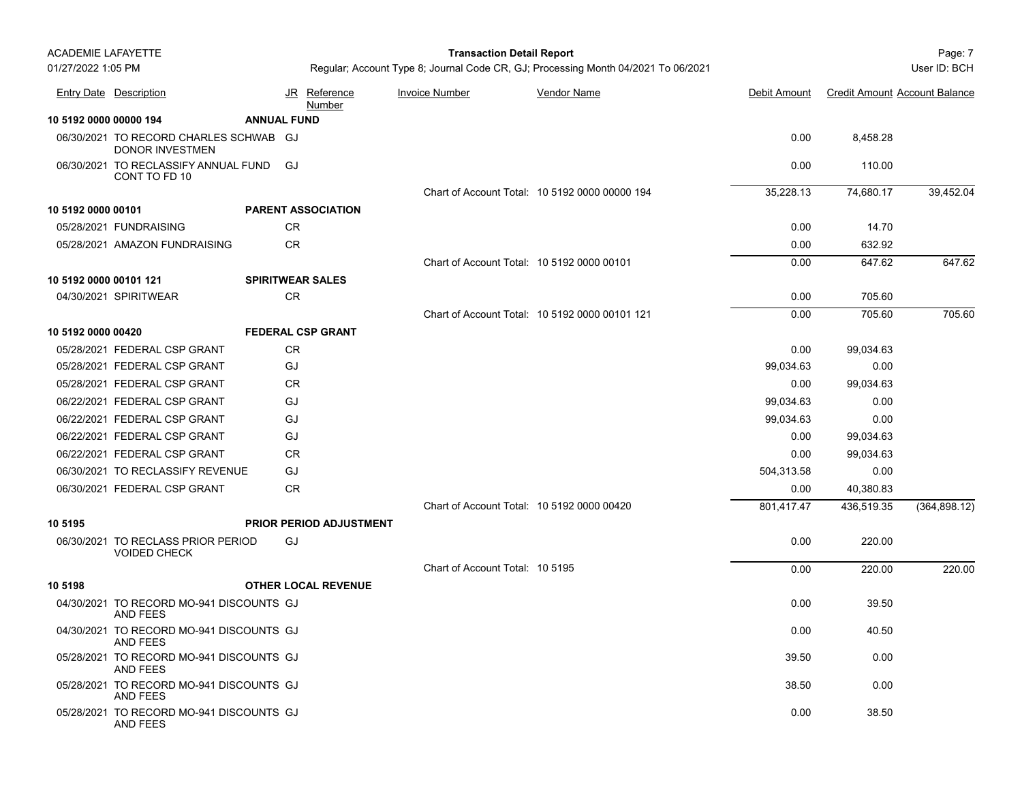## Page: 7 **Transaction Detail Report**

|                        | <b>Entry Date Description</b>                               | <u>JR</u>               | Reference<br>Number        | <b>Invoice Number</b>                      | <b>Vendor Name</b>                             | Debit Amount | <b>Credit Amount Account Balance</b> |               |
|------------------------|-------------------------------------------------------------|-------------------------|----------------------------|--------------------------------------------|------------------------------------------------|--------------|--------------------------------------|---------------|
| 10 5192 0000 00000 194 |                                                             | <b>ANNUAL FUND</b>      |                            |                                            |                                                |              |                                      |               |
|                        | 06/30/2021 TO RECORD CHARLES SCHWAB GJ<br>DONOR INVESTMEN   |                         |                            |                                            |                                                | 0.00         | 8,458.28                             |               |
|                        | 06/30/2021 TO RECLASSIFY ANNUAL FUND GJ<br>CONT TO FD 10    |                         |                            |                                            |                                                | 0.00         | 110.00                               |               |
|                        |                                                             |                         |                            |                                            | Chart of Account Total: 10 5192 0000 00000 194 | 35,228.13    | 74,680.17                            | 39,452.04     |
| 10 5192 0000 00101     |                                                             |                         | <b>PARENT ASSOCIATION</b>  |                                            |                                                |              |                                      |               |
|                        | 05/28/2021 FUNDRAISING                                      | CR.                     |                            |                                            |                                                | 0.00         | 14.70                                |               |
|                        | 05/28/2021 AMAZON FUNDRAISING                               | CR                      |                            |                                            |                                                | 0.00         | 632.92                               |               |
|                        |                                                             |                         |                            | Chart of Account Total: 10 5192 0000 00101 |                                                | 0.00         | 647.62                               | 647.62        |
| 10 5192 0000 00101 121 |                                                             | <b>SPIRITWEAR SALES</b> |                            |                                            |                                                |              |                                      |               |
|                        | 04/30/2021 SPIRITWEAR                                       | CR.                     |                            |                                            |                                                | 0.00         | 705.60                               |               |
|                        |                                                             |                         |                            |                                            | Chart of Account Total: 10 5192 0000 00101 121 | 0.00         | 705.60                               | 705.60        |
| 10 5192 0000 00420     |                                                             |                         | <b>FEDERAL CSP GRANT</b>   |                                            |                                                |              |                                      |               |
|                        | 05/28/2021 FEDERAL CSP GRANT                                | CR                      |                            |                                            |                                                | 0.00         | 99,034.63                            |               |
|                        | 05/28/2021 FEDERAL CSP GRANT                                | GJ                      |                            |                                            |                                                | 99,034.63    | 0.00                                 |               |
|                        | 05/28/2021 FEDERAL CSP GRANT                                | CR                      |                            |                                            |                                                | 0.00         | 99,034.63                            |               |
|                        | 06/22/2021 FEDERAL CSP GRANT                                | GJ                      |                            |                                            |                                                | 99,034.63    | 0.00                                 |               |
|                        | 06/22/2021 FEDERAL CSP GRANT                                | GJ                      |                            |                                            |                                                | 99,034.63    | 0.00                                 |               |
|                        | 06/22/2021 FEDERAL CSP GRANT                                | GJ                      |                            |                                            |                                                | 0.00         | 99,034.63                            |               |
|                        | 06/22/2021 FEDERAL CSP GRANT                                | CR                      |                            |                                            |                                                | 0.00         | 99,034.63                            |               |
|                        | 06/30/2021 TO RECLASSIFY REVENUE                            | GJ                      |                            |                                            |                                                | 504,313.58   | 0.00                                 |               |
|                        | 06/30/2021 FEDERAL CSP GRANT                                | CR.                     |                            |                                            |                                                | 0.00         | 40,380.83                            |               |
|                        |                                                             |                         |                            | Chart of Account Total: 10 5192 0000 00420 |                                                | 801,417.47   | 436,519.35                           | (364, 898.12) |
| 10 5195                |                                                             |                         | PRIOR PERIOD ADJUSTMENT    |                                            |                                                |              |                                      |               |
|                        | 06/30/2021 TO RECLASS PRIOR PERIOD<br><b>VOIDED CHECK</b>   | GJ                      |                            |                                            |                                                | 0.00         | 220.00                               |               |
|                        |                                                             |                         |                            | Chart of Account Total: 10 5195            |                                                | 0.00         | 220.00                               | 220.00        |
| 10 5198                |                                                             |                         | <b>OTHER LOCAL REVENUE</b> |                                            |                                                |              |                                      |               |
|                        | 04/30/2021 TO RECORD MO-941 DISCOUNTS GJ<br><b>AND FEES</b> |                         |                            |                                            |                                                | 0.00         | 39.50                                |               |
|                        | 04/30/2021 TO RECORD MO-941 DISCOUNTS GJ<br><b>AND FEES</b> |                         |                            |                                            |                                                | 0.00         | 40.50                                |               |
|                        | 05/28/2021 TO RECORD MO-941 DISCOUNTS GJ<br>AND FEES        |                         |                            |                                            |                                                | 39.50        | 0.00                                 |               |
|                        | 05/28/2021 TO RECORD MO-941 DISCOUNTS GJ<br><b>AND FEES</b> |                         |                            |                                            |                                                | 38.50        | 0.00                                 |               |
|                        | 05/28/2021 TO RECORD MO-941 DISCOUNTS GJ<br><b>AND FEES</b> |                         |                            |                                            |                                                | 0.00         | 38.50                                |               |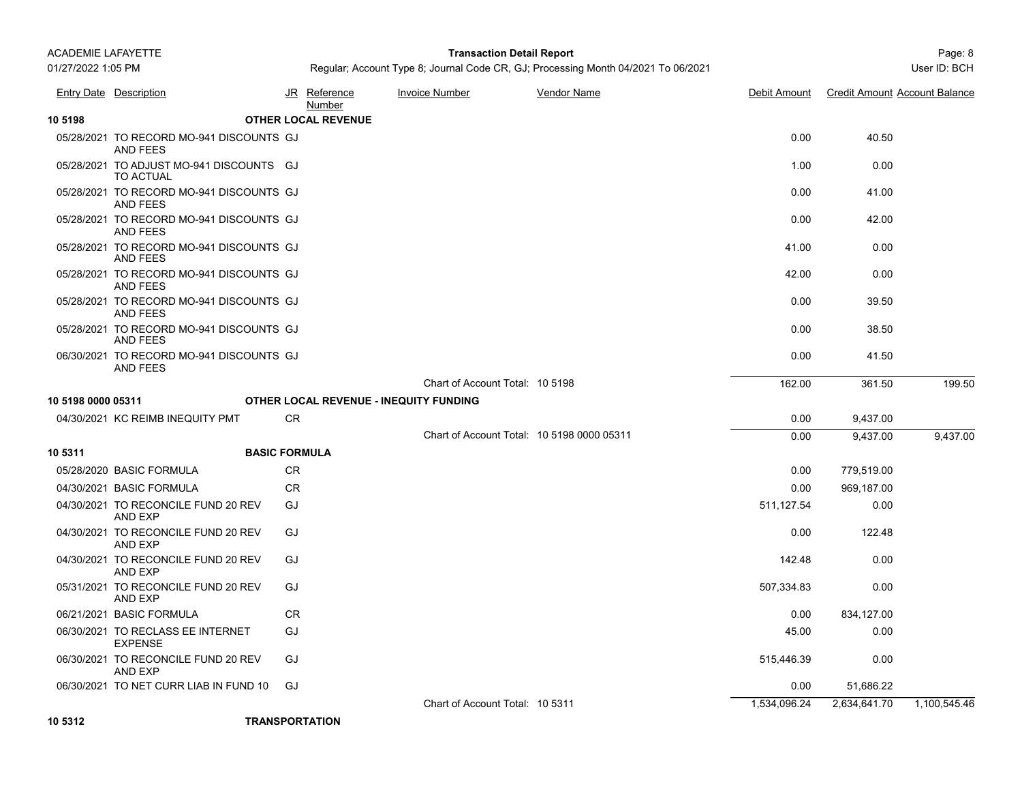### Page: 8 **Transaction Detail Report**

|                    | <b>Entry Date Description</b>                                |           | JR Reference<br>Number     | <b>Invoice Number</b>                         | <b>Vendor Name</b> | Debit Amount | <b>Credit Amount Account Balance</b> |              |
|--------------------|--------------------------------------------------------------|-----------|----------------------------|-----------------------------------------------|--------------------|--------------|--------------------------------------|--------------|
| 10 5198            |                                                              |           | <b>OTHER LOCAL REVENUE</b> |                                               |                    |              |                                      |              |
|                    | 05/28/2021 TO RECORD MO-941 DISCOUNTS GJ<br>AND FEES         |           |                            |                                               |                    | 0.00         | 40.50                                |              |
|                    | 05/28/2021 TO ADJUST MO-941 DISCOUNTS GJ<br><b>TO ACTUAL</b> |           |                            |                                               |                    | 1.00         | 0.00                                 |              |
|                    | 05/28/2021 TO RECORD MO-941 DISCOUNTS GJ<br><b>AND FEES</b>  |           |                            |                                               |                    | 0.00         | 41.00                                |              |
|                    | 05/28/2021 TO RECORD MO-941 DISCOUNTS GJ<br>AND FEES         |           |                            |                                               |                    | 0.00         | 42.00                                |              |
|                    | 05/28/2021 TO RECORD MO-941 DISCOUNTS GJ<br><b>AND FEES</b>  |           |                            |                                               |                    | 41.00        | 0.00                                 |              |
|                    | 05/28/2021 TO RECORD MO-941 DISCOUNTS GJ<br><b>AND FEES</b>  |           |                            |                                               |                    | 42.00        | 0.00                                 |              |
|                    | 05/28/2021 TO RECORD MO-941 DISCOUNTS GJ<br><b>AND FEES</b>  |           |                            |                                               |                    | 0.00         | 39.50                                |              |
|                    | 05/28/2021 TO RECORD MO-941 DISCOUNTS GJ<br><b>AND FEES</b>  |           |                            |                                               |                    | 0.00         | 38.50                                |              |
|                    | 06/30/2021 TO RECORD MO-941 DISCOUNTS GJ<br><b>AND FEES</b>  |           |                            |                                               |                    | 0.00         | 41.50                                |              |
|                    |                                                              |           |                            | Chart of Account Total: 10 5198               |                    | 162.00       | 361.50                               | 199.50       |
| 10 5198 0000 05311 |                                                              |           |                            | <b>OTHER LOCAL REVENUE - INEQUITY FUNDING</b> |                    |              |                                      |              |
|                    | 04/30/2021 KC REIMB INEQUITY PMT                             | CR        |                            |                                               |                    | 0.00         | 9,437.00                             |              |
|                    |                                                              |           |                            | Chart of Account Total: 10 5198 0000 05311    |                    | 0.00         | 9,437.00                             | 9,437.00     |
| 10 5311            | <b>BASIC FORMULA</b>                                         |           |                            |                                               |                    |              |                                      |              |
|                    | 05/28/2020 BASIC FORMULA                                     | <b>CR</b> |                            |                                               |                    | 0.00         | 779,519.00                           |              |
|                    | 04/30/2021 BASIC FORMULA                                     | <b>CR</b> |                            |                                               |                    | 0.00         | 969,187.00                           |              |
|                    | 04/30/2021 TO RECONCILE FUND 20 REV<br>AND EXP               | GJ        |                            |                                               |                    | 511,127.54   | 0.00                                 |              |
|                    | 04/30/2021 TO RECONCILE FUND 20 REV<br>AND EXP               | GJ        |                            |                                               |                    | 0.00         | 122.48                               |              |
|                    | 04/30/2021 TO RECONCILE FUND 20 REV<br>AND EXP               | GJ        |                            |                                               |                    | 142.48       | 0.00                                 |              |
|                    | 05/31/2021 TO RECONCILE FUND 20 REV<br><b>AND EXP</b>        | GJ        |                            |                                               |                    | 507,334.83   | 0.00                                 |              |
|                    | 06/21/2021 BASIC FORMULA                                     | <b>CR</b> |                            |                                               |                    | 0.00         | 834,127.00                           |              |
|                    | 06/30/2021 TO RECLASS EE INTERNET<br><b>EXPENSE</b>          | GJ        |                            |                                               |                    | 45.00        | 0.00                                 |              |
|                    | 06/30/2021 TO RECONCILE FUND 20 REV<br>AND EXP               | GJ        |                            |                                               |                    | 515,446.39   | 0.00                                 |              |
|                    | 06/30/2021 TO NET CURR LIAB IN FUND 10                       | GJ        |                            |                                               |                    | 0.00         | 51,686.22                            |              |
|                    |                                                              |           |                            | Chart of Account Total: 10 5311               |                    | 1.534.096.24 | 2.634.641.70                         | 1.100.545.46 |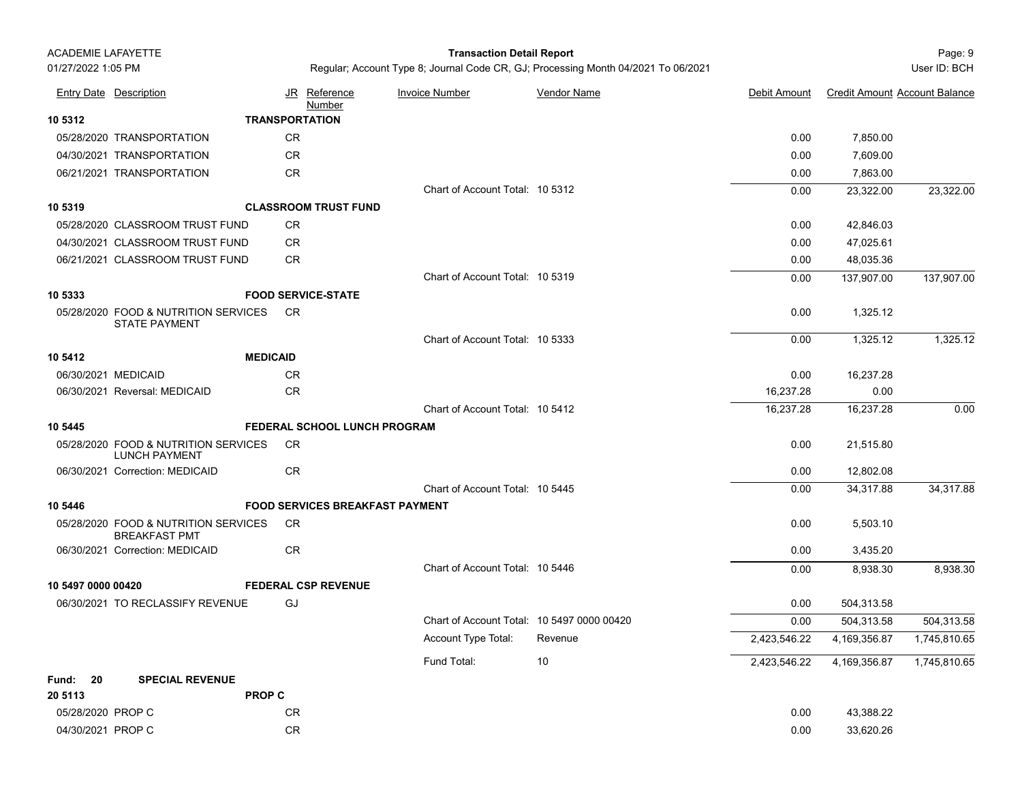## Page: 9 **Transaction Detail Report**

|                    | <b>Entry Date Description</b>                                |                       | JR Reference<br>Number                 | <b>Invoice Number</b>                      | <b>Vendor Name</b> | <b>Debit Amount</b> | <b>Credit Amount Account Balance</b> |              |
|--------------------|--------------------------------------------------------------|-----------------------|----------------------------------------|--------------------------------------------|--------------------|---------------------|--------------------------------------|--------------|
| 10 5312            |                                                              | <b>TRANSPORTATION</b> |                                        |                                            |                    |                     |                                      |              |
|                    | 05/28/2020 TRANSPORTATION                                    | CR                    |                                        |                                            |                    | 0.00                | 7,850.00                             |              |
|                    | 04/30/2021 TRANSPORTATION                                    | <b>CR</b>             |                                        |                                            |                    | 0.00                | 7,609.00                             |              |
|                    | 06/21/2021 TRANSPORTATION                                    | <b>CR</b>             |                                        |                                            |                    | 0.00                | 7,863.00                             |              |
|                    |                                                              |                       |                                        | Chart of Account Total: 10 5312            |                    | 0.00                | 23,322.00                            | 23,322.00    |
| 10 5319            |                                                              |                       | <b>CLASSROOM TRUST FUND</b>            |                                            |                    |                     |                                      |              |
|                    | 05/28/2020 CLASSROOM TRUST FUND                              | CR                    |                                        |                                            |                    | 0.00                | 42,846.03                            |              |
|                    | 04/30/2021 CLASSROOM TRUST FUND                              | CR                    |                                        |                                            |                    | 0.00                | 47,025.61                            |              |
|                    | 06/21/2021 CLASSROOM TRUST FUND                              | CR                    |                                        |                                            |                    | 0.00                | 48,035.36                            |              |
|                    |                                                              |                       |                                        | Chart of Account Total: 10 5319            |                    | 0.00                | 137,907.00                           | 137,907.00   |
| 10 5333            |                                                              |                       | <b>FOOD SERVICE-STATE</b>              |                                            |                    |                     |                                      |              |
|                    | 05/28/2020 FOOD & NUTRITION SERVICES<br><b>STATE PAYMENT</b> | <b>CR</b>             |                                        |                                            |                    | 0.00                | 1,325.12                             |              |
|                    |                                                              |                       |                                        | Chart of Account Total: 10 5333            |                    | 0.00                | 1.325.12                             | 1,325.12     |
| 10 5412            |                                                              | <b>MEDICAID</b>       |                                        |                                            |                    |                     |                                      |              |
|                    | 06/30/2021 MEDICAID                                          | CR                    |                                        |                                            |                    | 0.00                | 16,237.28                            |              |
|                    | 06/30/2021 Reversal: MEDICAID                                | <b>CR</b>             |                                        |                                            |                    | 16,237.28           | 0.00                                 |              |
|                    |                                                              |                       |                                        | Chart of Account Total: 10 5412            |                    | 16,237.28           | 16,237.28                            | 0.00         |
| 10 5445            |                                                              |                       | <b>FEDERAL SCHOOL LUNCH PROGRAM</b>    |                                            |                    |                     |                                      |              |
|                    | 05/28/2020 FOOD & NUTRITION SERVICES<br><b>LUNCH PAYMENT</b> | <b>CR</b>             |                                        |                                            |                    | 0.00                | 21,515.80                            |              |
|                    | 06/30/2021 Correction: MEDICAID                              | <b>CR</b>             |                                        |                                            |                    | 0.00                | 12,802.08                            |              |
|                    |                                                              |                       |                                        | Chart of Account Total: 10 5445            |                    | 0.00                | 34,317.88                            | 34,317.88    |
| 10 5446            |                                                              |                       | <b>FOOD SERVICES BREAKFAST PAYMENT</b> |                                            |                    |                     |                                      |              |
|                    | 05/28/2020 FOOD & NUTRITION SERVICES<br><b>BREAKFAST PMT</b> | <b>CR</b>             |                                        |                                            |                    | 0.00                | 5,503.10                             |              |
|                    | 06/30/2021 Correction: MEDICAID                              | <b>CR</b>             |                                        |                                            |                    | 0.00                | 3,435.20                             |              |
|                    |                                                              |                       |                                        | Chart of Account Total: 10 5446            |                    | 0.00                | 8.938.30                             | 8,938.30     |
| 10 5497 0000 00420 |                                                              |                       | <b>FEDERAL CSP REVENUE</b>             |                                            |                    |                     |                                      |              |
|                    | 06/30/2021 TO RECLASSIFY REVENUE                             | GJ                    |                                        |                                            |                    | 0.00                | 504,313.58                           |              |
|                    |                                                              |                       |                                        | Chart of Account Total: 10 5497 0000 00420 |                    | 0.00                | 504,313.58                           | 504,313.58   |
|                    |                                                              |                       |                                        | <b>Account Type Total:</b>                 | Revenue            | 2,423,546.22        | 4,169,356.87                         | 1,745,810.65 |
|                    |                                                              |                       |                                        | Fund Total:                                | 10                 | 2,423,546.22        | 4,169,356.87                         | 1,745,810.65 |
| <b>Fund: 20</b>    | <b>SPECIAL REVENUE</b>                                       |                       |                                        |                                            |                    |                     |                                      |              |
| 20 5113            |                                                              | <b>PROP C</b>         |                                        |                                            |                    |                     |                                      |              |
| 05/28/2020 PROP C  |                                                              | CR.                   |                                        |                                            |                    | 0.00                | 43,388.22                            |              |
| 04/30/2021 PROP C  |                                                              | <b>CR</b>             |                                        |                                            |                    | 0.00                | 33,620.26                            |              |